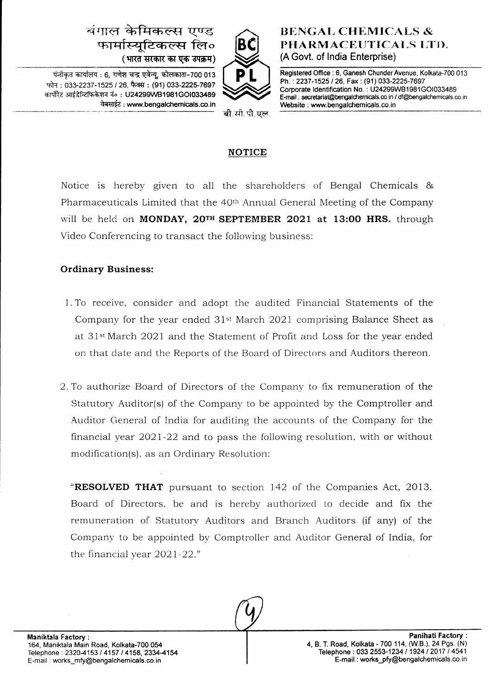# बंगाल केमिकल्स एण्ड फार्मास्यटिकल्स लि० (भारत सरकार का एक उपक्रम)



पंजीकृत कार्यालय : 6, गणेश चन्द्र एवेन्य, कोलकाता-700 013 फोन: 033-2237-1525 / 26, फैक्स: (91) 033-2225-7697 कार्पोरेट आईडेन्टिफिकेशन नं०: U24299WB1981GO1033489 वेबसाईट : www.bengalchemicals.co.in

## **BENGAL CHEMICALS &** PHARMACEUTICALS LTD. (A Govt. of lndia Enterprise)

Registered Office : 6, Ganesh Chunder Avenue, Kolkata-700 013 Ph.: 2237-1525 / 26, Fax: (91) 033-2225-7697 Corporate ldentification No. : U24299WB1 981GO1033489 E-mail : secretariat@bengalchemicals.co.in / df@bengalchemicals.co.in Website : www. bengalchemicals. co. in

बी.सी.पी.पल.

### NOTICE

Notice is hereby given to all the shareholders of Bengal Chemicals & Pharmaceuticals Limited that the 40th Annual General Meeting of the Company will be held on MONDAY, 20TH SEPTEMBER 2021 at 13:00 HRS. through Video Conferencing to transact the following business:

## Ordinary Business:

- <sup>1</sup>. To receive, consider and adopt the audited Financial Statements of the Company for the year ended  $31<sup>st</sup>$  March 2021 comprising Balance Sheet as at 31<sup>st</sup> March 2021 and the Statement of Profit and Loss for the year ended on that date and the Reports of the Board of Directors and Auditors thereon.
- '2. To authorize Board of Directors of the Company to fix remuneration of the Statutory Auditor(s) of the Company to be appointed by the Comptroller and Auditor General of India for auditing the accounts of the Company for the financial year 2O2l-22 and to pass the following resolution, with or without modification(s), as an Ordinary Resolution:

**"RESOLVED THAT** pursuant to section 142 of the Companies Act, 2013. Board of Directors, be and is hereby authorized to decide and fix the remuneration of Statutorv Auditors and Branch Auditors (if any) of the Company to be appointed by Comptroller and Auditor General of India, for the financial vear 2021-22."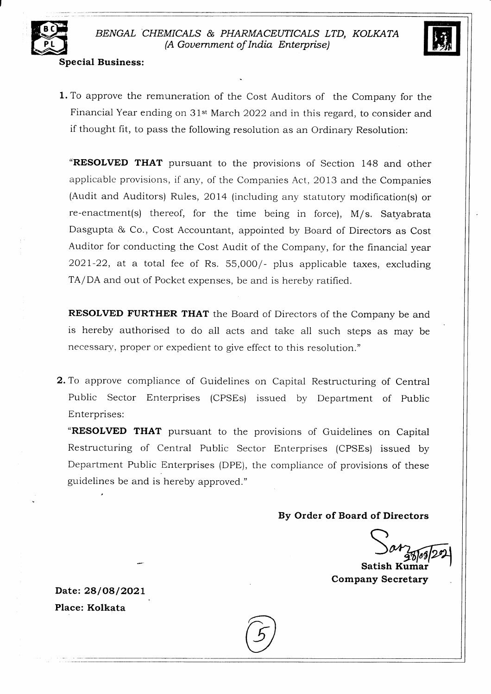

#### Special Business:

**1.** To approve the remuneration of the Cost Auditors of the Company for the Financial Year ending on 31<sup>st</sup> March 2022 and in this regard, to consider and if thought fit, to pass the following resolution as an Ordinary Resolution:

"RESOLVED THAT pursuant to the provisions of Section 148 and other applicable provisions, if any, of the Companies Act, 2013 and the Companies (Audit and Auditors) Rules, 2Ol4 (including any statutory modification(s) or re-enactment(s) thereof, for the time being in force), M/s. Satyabrata Dasgupta & Co., Cost Accountant, appointed by Board of Directors as Cost Auditor for conducting the Cost Audit of the Company, for the financial year  $2021-22$ , at a total fee of Rs. 55,000/- plus applicable taxes, excluding TA/DA and out of Pocket expenses, be and is hereby ratified.

RESOLVED FURTHER THAT the Board of Directors of the Company be and is hereby authorised to do a1l acts and take all such steps as may be necessary, proper or expedient to give effect to this resolution."

2. To approve compliance of Guidelines on Capital Restructuring of Central Public Sector Enterprises (CPSEs) issued by Department of Public Enterprises:

"RESOLVED THAT pursuant to the provisions of Guidelines on Capital Restructuring of Central Public Sector Enterprises (CPSEs) issued by Department Public Enterprises (DPE), the compliance of provisions of these guidelines be and is hereby approved."

By Order of Board of Directors

Satish Kumar Company Secretary

Date: 28/08/2021 Place: Kolkata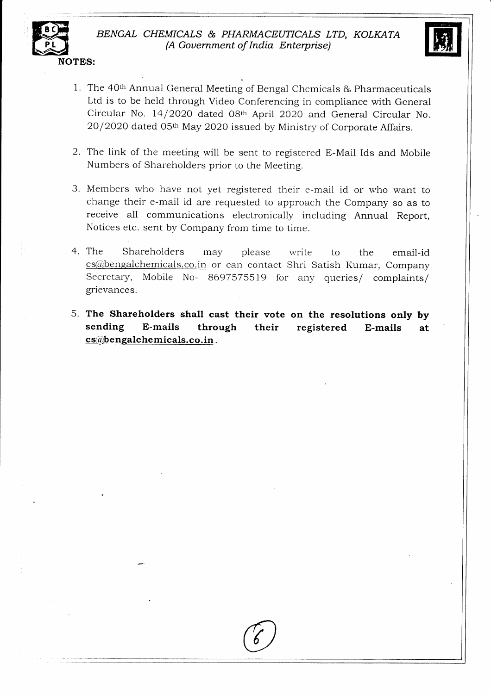



- 1. The 40th Annual General Meeting of Bengal Chemicals & Pharmaceuticals Ltd is to be held through Video Conferencing in compliance with General Circular No. 14/2020 dated 08th April 2020 and General Circular No. 20/2020 dated 05th May 2020 issued by Ministry of Corporate Affairs.
- 2. The link of the meeting will be sent to registered E-Mail Ids and Mobile Numbers of Shareholders prior to the Meeting.
- 3. Members who have not yet registered their e-mail id or who want to change their e-mail id are requested to approach the Company so as to receive all communications electronically including Annual Report Notices etc. sent by Company from time to time.
- 4. The Shareholders may please write to the email-id cs@bengalchemicals.co.in or can contact Shri Satish Kumar, Company Secretary, Mobile No- 8697575519 for any queries/ complaints/ grievances.
- 5. The Shareholders shall cast their vote on the resolutions only by sending E-mails through their registered E-mails at  $cs@ben galchemicals.co.in.$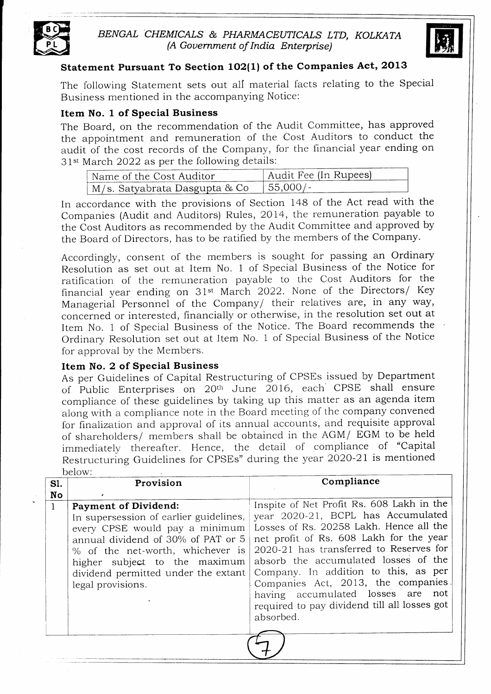

## BENGAL CHEMICALS & PHARMACEUTICALS LTD, KOLKATA (A Gouernment of India Enterprise)



## Statement Pursuant To Section 102(1) of the Companies Act, 2013

The following Statement sets out all material facts relating to the Special Business mentioned in the accompanying Notice:

#### Item No. 1 of Special Business

audit of the cost records of the Company, for the financial year ending on 31<sup>st</sup> March 2022 as per the following details: The Board, on the recommendation of the Audit Committee, has approved the appointment and remuneration of the Cost Auditors to conduct the

| Name of the Cost Auditor        | Audit Fee (In Rupees) |
|---------------------------------|-----------------------|
| † M/s. Satyabrata Dasgupta & Co | $+55.000/-$           |

In accordance with the provisions of Section l4B of the Act read with the Companies (Audit and Auditors) Rules, 2014, the remuneration payable to the Cost Auditors as recommended by the Audit Committee and approved by the Board of Directors, has to be ratified by the members of the Company.

Accordingly, consent of the members is sought for passing an Ordinary Resolution as set out at Item No. 1 of Special Business of the Notice for ratification of the remuneration payable to the Cost Auditors for the financial year ending on 31<sup>st</sup> March 2022. None of the Directors/ Key Managerial Personnel of the Company/ their relatives are, in any way, concerned or interested, financially or otherwise, in the resolution set out at Item No. 1 of Special Business of the Notice. The Board recommends the Ordinary Resolution set out at Item No. 1 of Special Business of the Notice for approval by the Members.

#### Item No. 2 of Special Business

As per Guidelines of Capital Restructuring of CPSEs issued by Department of Public Enterprises on 20<sup>th</sup> June 2016, each CPSE shall ensure compliance of these guidelines by taking up this matter as an agenda item along with a compliance note in the Board meeting of the company convened for finalization and approval of its annual accounts, and requisite approval of shareholders/ members shall be obtained in the AGM/  $EGM$  to be held immediately thereafter. Hence, the detail of compliance of "Capital Restructuring Guidelines for CPSEs" during the year 2O2O-21 is mentioned below:

| S1.          | Provision                                                                                                                                                                                                                                                                      | Compliance                                                                                                                                                                                                                                                                                                                                                                                                                               |
|--------------|--------------------------------------------------------------------------------------------------------------------------------------------------------------------------------------------------------------------------------------------------------------------------------|------------------------------------------------------------------------------------------------------------------------------------------------------------------------------------------------------------------------------------------------------------------------------------------------------------------------------------------------------------------------------------------------------------------------------------------|
| No           |                                                                                                                                                                                                                                                                                |                                                                                                                                                                                                                                                                                                                                                                                                                                          |
| $\mathbf{1}$ | <b>Payment of Dividend:</b><br>In supersession of earlier guidelines,<br>every CPSE would pay a minimum<br>annual dividend of 30% of PAT or 5<br>% of the net-worth, whichever is<br>higher subject to the maximum<br>dividend permitted under the extant<br>legal provisions. | Inspite of Net Profit Rs. 608 Lakh in the<br>year 2020-21, BCPL has Accumulated<br>Losses of Rs. 20258 Lakh. Hence all the<br>net profit of Rs. 608 Lakh for the year<br>2020-21 has transferred to Reserves for<br>absorb the accumulated losses of the<br>Company. In addition to this, as per<br>Companies Act, 2013, the companies<br>having accumulated losses are not<br>required to pay dividend till all losses got<br>absorbed. |